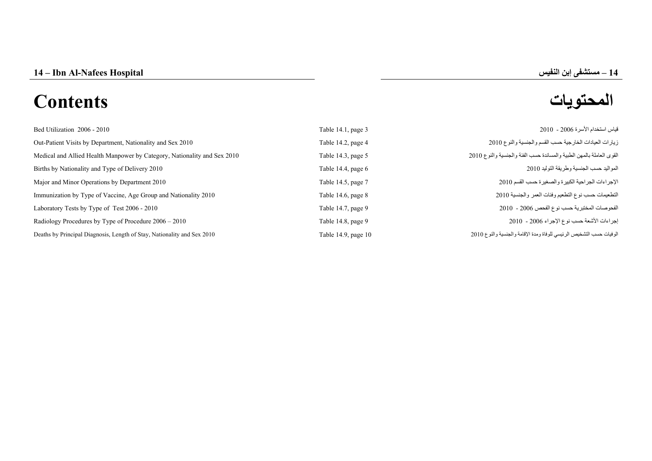# **المحتويات Contents**

# **–**

| Bed Utilization 2006 - 2010                                              | Table 14.1, page 3   | قياس استخدام الأسر ة 2006 - 2010                                     |
|--------------------------------------------------------------------------|----------------------|----------------------------------------------------------------------|
| Out-Patient Visits by Department, Nationality and Sex 2010               | Table 14.2, page 4   | زيارات العيادات الخارجية حسب القسم والجنسية والنوع 2010              |
| Medical and Allied Health Manpower by Category, Nationality and Sex 2010 | Table 14.3, page 5   | القوى العاملة بالمهن الطبية والمساندة حسب الفئة والجنسية والنوع 2010 |
| Births by Nationality and Type of Delivery 2010                          | Table 14.4, page $6$ | المواليد حسب الجنسية وطريقة التوليد 2010                             |
| Major and Minor Operations by Department 2010                            | Table 14.5, page 7   | الإجراءات الجراحية الكبيرة والصغيرة حسب القسم 2010                   |
| Immunization by Type of Vaccine, Age Group and Nationality 2010          | Table 14.6, page 8   | التطعيمات حسب نوع التطعيم وفئات العمر والجنسية 2010                  |
| Laboratory Tests by Type of Test 2006 - 2010                             | Table 14.7, page 9   | الفحوصات المختبرية حسب نوع الفحص 2006 - 2010                         |
| Radiology Procedures by Type of Procedure $2006 - 2010$                  | Table 14.8, page 9   | إجراءات الأشعة حسب نوع الإجراء 2006 - 2010                           |
| Deaths by Principal Diagnosis, Length of Stay, Nationality and Sex 2010  | Table 14.9, page 10  | الوفيات حسب التشخيص الرئيسي للوفاة ومدة الإقامة والجنسية والنوع 2010 |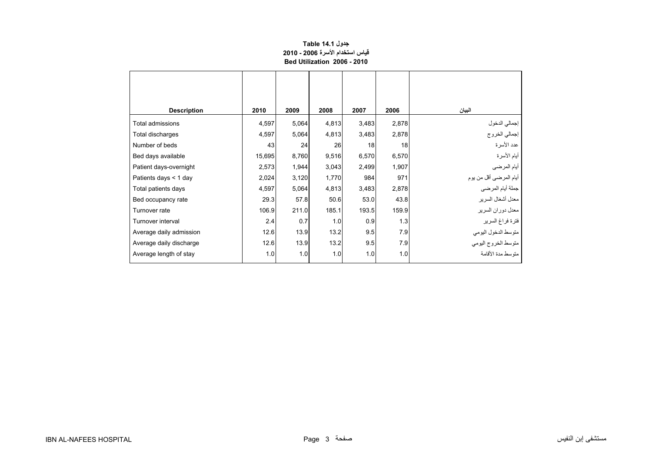#### **جدول 14.1 Table قياس استخدام األسرة 2006 - 2010 Bed Utilization 2006 - 2010**

<span id="page-1-0"></span>

| <b>Description</b>      | 2010   | 2009  | 2008  | 2007  | 2006  | البيان                         |
|-------------------------|--------|-------|-------|-------|-------|--------------------------------|
| Total admissions        | 4,597  | 5,064 | 4,813 | 3,483 | 2,878 |                                |
| Total discharges        | 4,597  | 5,064 | 4,813 | 3,483 | 2,878 | إجمالي الدخول<br>إجمالي الخروج |
| Number of beds          | 43     | 24    | 26    | 18    | 18    | عدد الأسرة                     |
| Bed days available      | 15,695 | 8,760 | 9,516 | 6,570 | 6,570 | أيام الأسرة                    |
| Patient days-overnight  | 2,573  | 1,944 | 3,043 | 2,499 | 1,907 | أيام المرضى                    |
| Patients days $<$ 1 day | 2,024  | 3,120 | 1,770 | 984   | 971   | أيام المرضىي أقل من يوم        |
| Total patients days     | 4,597  | 5,064 | 4,813 | 3,483 | 2,878 | جملة أيام المرضي               |
| Bed occupancy rate      | 29.3   | 57.8  | 50.6  | 53.0  | 43.8  | معدل أشغال السرير              |
| Turnover rate           | 106.9  | 211.0 | 185.1 | 193.5 | 159.9 | معدل دوران السرير              |
| Turnover interval       | 2.4    | 0.7   | 1.0   | 0.9   | 1.3   | فترة فراغ السرير               |
| Average daily admission | 12.6   | 13.9  | 13.2  | 9.5   | 7.9   | متوسط الدخول اليومي            |
| Average daily discharge | 12.6   | 13.9  | 13.2  | 9.5   | 7.9   | متوسط الخروج اليومي            |
| Average length of stay  | 1.0    | 1.0   | 1.0   | 1.0   | 1.0   | متوسط مدة الأقامة              |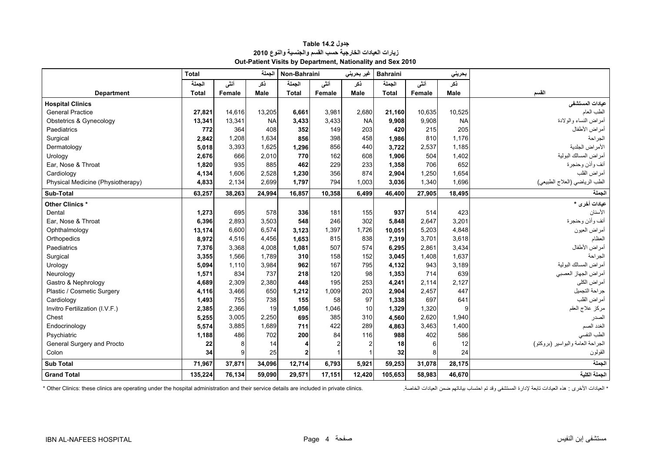<span id="page-2-0"></span>

|                                   | الجملة<br><b>Total</b> |        |             | Non-Bahraini<br>غير بحريني |                | <b>Bahraini</b> |              | بحريني |             |                                   |
|-----------------------------------|------------------------|--------|-------------|----------------------------|----------------|-----------------|--------------|--------|-------------|-----------------------------------|
|                                   | الجملة                 | أنشى   | ذكر         | الجملة                     | أنشى           | ذكر             | الجملة       | أنشى   | نكر         |                                   |
| <b>Department</b>                 | <b>Total</b>           | Female | <b>Male</b> | <b>Total</b>               | Female         | Male            | <b>Total</b> | Female | <b>Male</b> | القسم                             |
| <b>Hospital Clinics</b>           |                        |        |             |                            |                |                 |              |        |             | عيادات المستشفى                   |
| <b>General Practice</b>           | 27,821                 | 14,616 | 13,205      | 6,661                      | 3,981          | 2,680           | 21,160       | 10,635 | 10,525      | الطب العام                        |
| Obstetrics & Gynecology           | 13,341                 | 13,341 | <b>NA</b>   | 3,433                      | 3,433          | <b>NA</b>       | 9,908        | 9,908  | <b>NA</b>   | أمراض النساء والولادة             |
| Paediatrics                       | 772                    | 364    | 408         | 352                        | 149            | 203             | 420          | 215    | 205         | أمراض الأطفال                     |
| Surgical                          | 2,842                  | 1,208  | 1.634       | 856                        | 398            | 458             | 1,986        | 810    | 1,176       | الجراحة                           |
| Dermatology                       | 5,018                  | 3,393  | 1,625       | 1,296                      | 856            | 440             | 3,722        | 2,537  | 1,185       | الأمراض الجلدية                   |
| Urology                           | 2,676                  | 666    | 2,010       | 770                        | 162            | 608             | 1,906        | 504    | 1,402       | أمراض المسالك البولية             |
| Ear, Nose & Throat                | 1,820                  | 935    | 885         | 462                        | 229            | 233             | 1,358        | 706    | 652         | أنف وأذن وحنجرة                   |
| Cardiology                        | 4,134                  | 1,606  | 2,528       | 1,230                      | 356            | 874             | 2,904        | 1,250  | 1,654       | أمراض القلب                       |
| Physical Medicine (Physiotherapy) | 4,833                  | 2,134  | 2,699       | 1.797                      | 794            | 1,003           | 3.036        | 1,340  | 1,696       | الطب الرياضي (العلاج الطبيعي)     |
| Sub-Total                         | 63,257                 | 38,263 | 24,994      | 16,857                     | 10,358         | 6,499           | 46,400       | 27,905 | 18,495      | الجملة                            |
| Other Clinics*                    |                        |        |             |                            |                |                 |              |        |             | عيادات أخرى *                     |
| Dental                            | 1,273                  | 695    | 578         | 336                        | 181            | 155             | 937          | 514    | 423         | الأسنان                           |
| Ear. Nose & Throat                | 6,396                  | 2,893  | 3,503       | 548                        | 246            | 302             | 5.848        | 2,647  | 3,201       | أنف وأذن وحنجرة                   |
| Ophthalmology                     | 13,174                 | 6,600  | 6,574       | 3,123                      | 1,397          | 1,726           | 10,051       | 5,203  | 4,848       | أمراض العيون                      |
| Orthopedics                       | 8,972                  | 4,516  | 4,456       | 1,653                      | 815            | 838             | 7,319        | 3,701  | 3,618       | العظام                            |
| Paediatrics                       | 7,376                  | 3,368  | 4.008       | 1,081                      | 507            | 574             | 6,295        | 2.861  | 3,434       | أمراض الأطفال                     |
| Surgical                          | 3,355                  | 1,566  | 1,789       | 310                        | 158            | 152             | 3,045        | 1,408  | 1,637       | الجر احة                          |
| Urology                           | 5,094                  | 1,110  | 3,984       | 962                        | 167            | 795             | 4,132        | 943    | 3,189       | أمراض المسالك البولية             |
| Neurology                         | 1,571                  | 834    | 737         | 218                        | 120            | 98              | 1,353        | 714    | 639         | أمراض الجهاز العصبي               |
| Gastro & Nephrology               | 4,689                  | 2.309  | 2,380       | 448                        | 195            | 253             | 4,241        | 2.114  | 2,127       | أمراض الكلى                       |
| Plastic / Cosmetic Surgery        | 4,116                  | 3,466  | 650         | 1,212                      | 1,009          | 203             | 2,904        | 2,457  | 447         | جراحة التجميل                     |
| Cardiology                        | 1,493                  | 755    | 738         | 155                        | 58             | 97              | 1,338        | 697    | 641         | أمراض القلب                       |
| Invitro Fertilization (I.V.F.)    | 2,385                  | 2,366  | 19          | 1,056                      | 1,046          | 10              | 1,329        | 1,320  | 9           | مركز علاج العقم                   |
| Chest                             | 5,255                  | 3,005  | 2,250       | 695                        | 385            | 310             | 4,560        | 2,620  | 1,940       | الصدر                             |
| Endocrinology                     | 5,574                  | 3,885  | 1,689       | 711                        | 422            | 289             | 4,863        | 3,463  | 1,400       | الغدد الصم                        |
| Psychiatric                       | 1,188                  | 486    | 702         | 200                        | 84             | 116             | 988          | 402    | 586         | الطب النفسى                       |
| General Surgery and Procto        | 22                     | 8      | 14          |                            | $\overline{2}$ |                 | 18           | 6      | 12          | الجراحة العامة والبواسير (بروكتو) |
| Colon                             | 34                     | 9      | 25          | $\mathbf{2}$               | $\mathbf{1}$   |                 | 32           | 8      | 24          | القولون                           |
| <b>Sub Total</b>                  | 71,967                 | 37,871 | 34,096      | 12,714                     | 6,793          | 5,921           | 59,253       | 31,078 | 28,175      | الجملة                            |
| <b>Grand Total</b>                | 135,224                | 76,134 | 59,090      | 29,571                     | 17,151         | 12,420          | 105,653      | 58,983 | 46,670      | الجملة الكلية                     |

# **جدول 14.2 Table زيارات العيادات الخارجية حسب القسم والجنسية والنوع <sup>2010</sup> Out-Patient Visits by Department, Nationality and Sex 2010**

\* العيادات تابعة لإدارة المستشفى وقد تم احتساب بياناتهم ضمن العيادات الخاصة. " Other Clinics: these clinics are operating under the hospital administration and their service details are included in private clinics. \* العي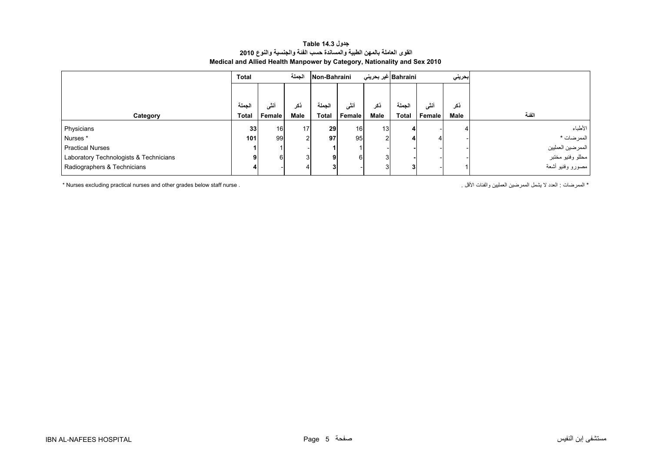#### **جدول 14.3 Table القوى العاملة بالمھن الطبية والمساندة حسب الفئة والجنسية والنوع <sup>2010</sup> Medical and Allied Health Manpower by Category, Nationality and Sex 2010**

<span id="page-3-0"></span>

|                                        | Total        | الجملة |      | Non-Bahraini |                 |      | Bahraini غير بحرين <i>ي</i> | بحريني        |             |                   |
|----------------------------------------|--------------|--------|------|--------------|-----------------|------|-----------------------------|---------------|-------------|-------------------|
|                                        |              |        |      |              |                 |      |                             |               |             |                   |
|                                        | الحملة       | ٠Ħ     | ڏک   | لحملة        | أننى            | نكر  | الحملة                      | أنشى          | نكر         |                   |
| Category                               | <b>Total</b> | Female | Male | <b>Total</b> | Female          | Male | <b>Total</b>                | <b>Female</b> | <b>Male</b> | الفئة             |
| Physicians                             | 33           | 16     | 17   | 29           | 16 <sup>1</sup> | 13   |                             |               |             | الأطباء           |
| Nurses <sup>*</sup>                    | 101          | 99     |      | 97           | 95              | ച    |                             |               |             | ا الممرضات *      |
| <b>Practical Nurses</b>                |              |        |      |              |                 |      |                             |               |             | الممرضين العمليين |
| Laboratory Technologists & Technicians |              |        |      | 9            | 61              | 3    |                             |               |             | مطلو وفنيو مختبر  |
| Radiographers & Technicians            |              |        |      | 3            |                 | 3    |                             |               |             | مصورو وفنيو أشعة  |

\* Nurses excluding practical nurses and other grades below staff nurse . . األقل والفئات العمليين الممرضين يشمل ال العدد : الممرضات\*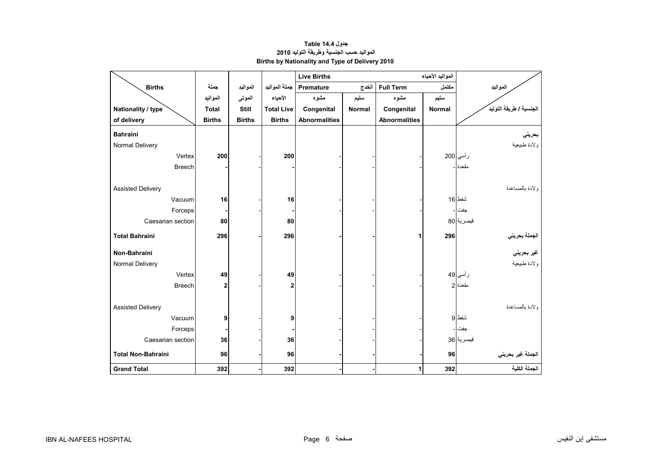# **جدول 14.4 Table المواليد حسب الجنسية وطريقة التوليد<sup>2010</sup> Births by Nationality and Type of Delivery 2010**

<span id="page-4-0"></span>

|                           |               |               |                   | <b>Live Births</b>   |               |                      |        |                                             |
|---------------------------|---------------|---------------|-------------------|----------------------|---------------|----------------------|--------|---------------------------------------------|
| <b>Births</b>             | جملة          | المواليد      | جملة المواليد     | Premature            | الخدج         | <b>Full Term</b>     | مكتمل  | المواليد                                    |
|                           | المواليد      | الموتى        | الأحياء           | مشوه                 | سليم          | مشوه                 | سليم   |                                             |
| Nationality / type        | <b>Total</b>  | <b>Still</b>  | <b>Total Live</b> | Congenital           | <b>Normal</b> | Congenital           | Normal | الجنسية / طريقة التوليد                     |
| of delivery               | <b>Births</b> | <b>Births</b> | <b>Births</b>     | <b>Abnormalities</b> |               | <b>Abnormalities</b> |        |                                             |
| <b>Bahraini</b>           |               |               |                   |                      |               |                      |        | بحريني                                      |
| Normal Delivery           |               |               |                   |                      |               |                      |        | ولادة طبيعية                                |
| Vertex                    | 200           |               | 200               |                      |               |                      |        | رأسي 200                                    |
| <b>Breech</b>             |               |               |                   |                      |               |                      |        | مقعدة ا ــ                                  |
|                           |               |               |                   |                      |               |                      |        |                                             |
| <b>Assisted Delivery</b>  |               |               |                   |                      |               |                      |        | ولادة بالمساعدة                             |
| Vacuum                    | 16            |               | 16                |                      |               |                      |        | شفط 16                                      |
| Forceps                   |               |               |                   |                      |               |                      |        | جفت                                         |
| Caesarian section         | 80            |               | 80                |                      |               |                      |        | قيصرية 80                                   |
| <b>Total Bahraini</b>     | 296           |               | 296               |                      |               | 1                    | 296    |                                             |
|                           |               |               |                   |                      |               |                      |        | الجملة بحرين <i>ي</i><br>غير بحرين <i>ي</i> |
| Non-Bahraini              |               |               |                   |                      |               |                      |        |                                             |
| Normal Delivery           |               |               |                   |                      |               |                      |        | ولادة طبيعية                                |
| Vertex                    | 49            |               | 49                |                      |               |                      |        | ر أسي 49                                    |
| <b>Breech</b>             | 2             |               | $\mathbf{2}$      |                      |               |                      |        | مقعدة 2                                     |
|                           |               |               |                   |                      |               |                      |        |                                             |
| <b>Assisted Delivery</b>  |               |               |                   |                      |               |                      |        | ولادة بالمساعدة                             |
| Vacuum                    | 9             |               | 9                 |                      |               |                      |        | شفط 9                                       |
| Forceps                   |               |               |                   |                      |               |                      |        | جفت                                         |
| Caesarian section         | 36            |               | 36                |                      |               |                      |        | قيصرية 36                                   |
| <b>Total Non-Bahraini</b> | 96            |               | 96                |                      |               |                      | 96     | الجملة غير بحريني                           |
| <b>Grand Total</b>        | 392           |               | 392               |                      |               | 1                    | 392    | الجملة الكلية                               |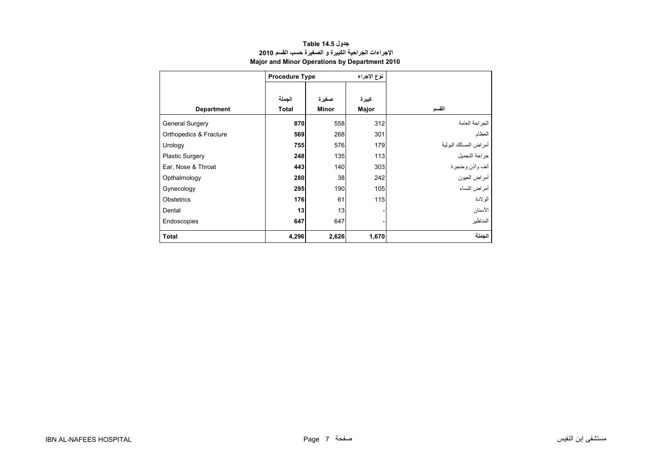<span id="page-5-0"></span>

|                        | <b>Procedure Type</b> |              | نوع الإجراء |                       |
|------------------------|-----------------------|--------------|-------------|-----------------------|
|                        |                       |              |             |                       |
|                        | الجملة                | صغيرة        | كبيرة       |                       |
| <b>Department</b>      | <b>Total</b>          | <b>Minor</b> | Major       | القسم                 |
| <b>General Surgery</b> | 870                   | 558          | 312         | الجراحة العامة        |
| Orthopedics & Fracture | 569                   | 268          | 301         | العظام                |
| Urology                | 755                   | 576          | 179         | أمراض المسالك البولية |
| <b>Plastic Surgery</b> | 248                   | 135          | 113         | جراحة التجميل         |
| Ear, Nose & Throat     | 443                   | 140          | 303         | أنف وأذن وحنجرة       |
| Opthalmology           | 280                   | 38           | 242         | أمراض العيون          |
| Gynecology             | 295                   | 190          | 105         | أمراض النساء          |
| Obstetrics             | 176                   | 61           | 115         | الولادة               |
| Dental                 | 13                    | 13           |             | الأسنان               |
| Endoscopies            | 647                   | 647          |             | المناظير              |
| <b>Total</b>           | 4,296                 | 2,626        | 1,670       | الجملة                |

#### **جدول 14.5 Table اإلجراءات الجراحية الكبيرة <sup>و</sup> الصغيرة حسب القسم <sup>2010</sup> Major and Minor Operations by Department 2010**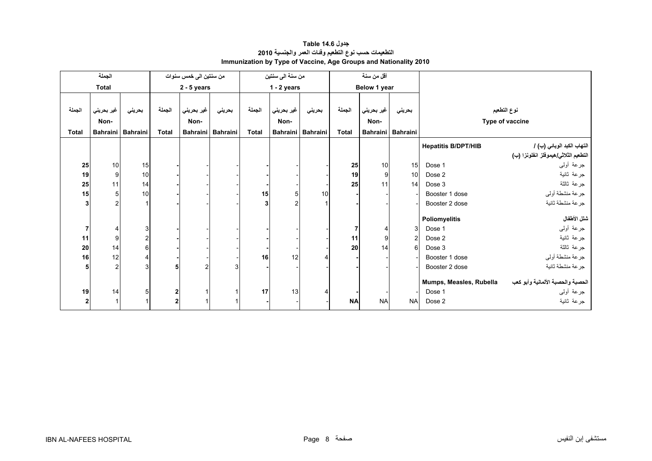<span id="page-6-0"></span>

|              | الجملة             |                 |                         | من سنتين الى خمس سنوات |          |              | من سنة الى سنتين   |                   |              | أقل من سنة         |                 |                            |                                                                    |
|--------------|--------------------|-----------------|-------------------------|------------------------|----------|--------------|--------------------|-------------------|--------------|--------------------|-----------------|----------------------------|--------------------------------------------------------------------|
|              | <b>Total</b>       |                 | $2 - 5$ years           |                        |          |              | $1 - 2$ years      |                   |              | Below 1 year       |                 |                            |                                                                    |
| الجملة       | غير بحريني<br>Non- | بحريني          | الجملة                  | غير بحريني<br>Non-     | بحريني   | الجملة       | غير بحريني<br>Non- | بحريني            | الجملة       | غير بحريني<br>Non- | بحريني          |                            | نوع التطعيم<br>Type of vaccine                                     |
| <b>Total</b> | <b>Bahraini</b>    | <b>Bahraini</b> | <b>Total</b>            | <b>Bahraini</b>        | Bahraini | <b>Total</b> |                    | Bahraini Bahraini | <b>Total</b> | <b>Bahraini</b>    | <b>Bahraini</b> |                            |                                                                    |
|              |                    |                 |                         |                        |          |              |                    |                   |              |                    |                 | <b>Hepatitis B/DPT/HIB</b> | التهاب الكبد الوبائي (ب) /<br>التطعيم الثلاثي/هيموفلز انفلونزا (ب) |
| 25           | 10 <sup>1</sup>    | 15              |                         |                        |          |              |                    |                   | 25           | 10 <sup>1</sup>    | 15              | Dose 1                     | جرعة أولىي                                                         |
| 19           | 9                  | 10              |                         |                        |          |              |                    |                   | 19           | 9                  | 10 <sup>1</sup> | Dose 2                     | جرعة ثانية                                                         |
| 25           | 11                 | 14              |                         |                        |          |              |                    |                   | 25           | 11                 | 14              | Dose 3                     | جرعة ثالثة                                                         |
| 15           | 5 <sub>1</sub>     | 10              |                         |                        |          | 15           | 5                  | 10                |              |                    |                 | Booster 1 dose             | جرعة منشطة أولى                                                    |
| 3            | $\mathfrak{p}$     |                 |                         |                        |          | 3            |                    |                   |              |                    |                 | Booster 2 dose             | جرعة منشطة ثانية                                                   |
|              |                    |                 |                         |                        |          |              |                    |                   |              |                    |                 | Poliomyelitis              | شلل الأطفال                                                        |
|              | 4                  | 3               |                         |                        |          |              |                    |                   |              | 4                  | 3 <sup>1</sup>  | Dose 1                     | جرعة أولىي                                                         |
| 11           | 9 <sub>l</sub>     | 2               |                         |                        |          |              |                    |                   | 11           | 9                  | $\overline{c}$  | Dose 2                     | جرعة ثانية                                                         |
| 20           | 14                 | 6               |                         |                        |          |              |                    |                   | 20           | 14                 | 6               | Dose 3                     | جرعة ثالثة                                                         |
| 16           | 12                 | 4               |                         |                        |          | 16           | 12                 |                   |              |                    |                 | Booster 1 dose             | جرعة منشطة أولى                                                    |
|              | $\overline{2}$     |                 | 5                       |                        |          |              |                    |                   |              |                    |                 | Booster 2 dose             | جرعة منشطة ثانية                                                   |
|              |                    |                 |                         |                        |          |              |                    |                   |              |                    |                 | Mumps, Measles, Rubella    | الحصبة والحصبة الألمانية وأبو كعب                                  |
| 19           | 14                 | 5               | $\boldsymbol{2}$        |                        |          | 17           | 13                 |                   |              |                    |                 | Dose 1                     | جرعة أولىي                                                         |
| $\mathbf{2}$ |                    |                 | $\overline{\mathbf{2}}$ |                        |          |              |                    |                   | <b>NA</b>    | <b>NA</b>          | <b>NAI</b>      | Dose 2                     | جرعة ثانية                                                         |

# **جدول 14.6 Table التطعيمات حسب نوع التطعيم وفئات العمر والجنسية <sup>2010</sup> Immunization by Type of Vaccine, Age Groups and Nationality 2010**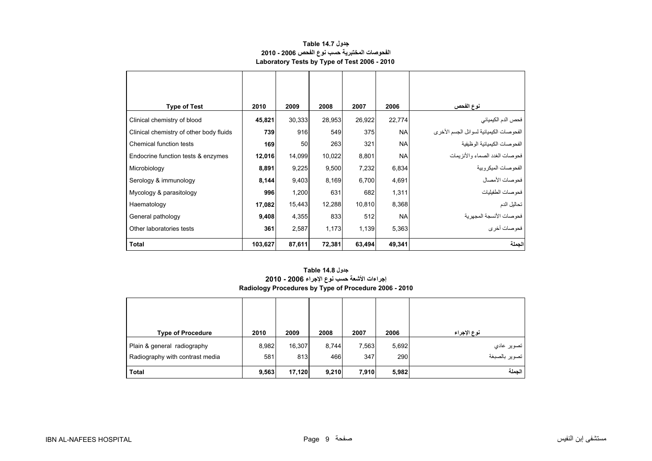<span id="page-7-0"></span>

| <b>Type of Test</b>                     | 2010    | 2009   | 2008   | 2007   | 2006      | نوع الفحص                               |
|-----------------------------------------|---------|--------|--------|--------|-----------|-----------------------------------------|
| Clinical chemistry of blood             | 45,821  | 30,333 | 28,953 | 26,922 | 22,774    | فحص الدم الكيميائي                      |
| Clinical chemistry of other body fluids | 739     | 916    | 549    | 375    | <b>NA</b> | الفحوصات الكيميائية لسوائل الجسم الأخرى |
| Chemical function tests                 | 169     | 50     | 263    | 321    | <b>NA</b> | الفحو صات الكيميائية الو ظيفية          |
| Endocrine function tests & enzymes      | 12,016  | 14,099 | 10,022 | 8,801  | <b>NA</b> | فحو صبات الغدد الصماء و الأنز بمات      |
| Microbiology                            | 8,891   | 9,225  | 9,500  | 7,232  | 6,834     | الفحو صبات الميكر وبية                  |
| Serology & immunology                   | 8,144   | 9,403  | 8,169  | 6,700  | 4,691     | فحوصات الأمصال                          |
| Mycology & parasitology                 | 996     | 1,200  | 631    | 682    | 1,311     | فحو صات الطفيليات                       |
| Haematology                             | 17,082  | 15,443 | 12,288 | 10,810 | 8,368     | تحاليل الدم                             |
| General pathology                       | 9,408   | 4,355  | 833    | 512    | <b>NA</b> | فحوصات الأنسجة المجهرية                 |
| Other laboratories tests                | 361     | 2,587  | 1,173  | 1,139  | 5,363     | فحوصات أخرى                             |
| <b>Total</b>                            | 103,627 | 87,611 | 72,381 | 63,494 | 49,341    | الجملة                                  |

#### **جدول 14.7 Table الفحوصات المختبرية حسب نوع الفحص 2006 - 2010 Laboratory Tests by Type of Test 2006 - 2010**

# **إجراءات األشعة حسب نوع اإلجراء 2006 - 2010 Radiology Procedures by Type of Procedure 2006 - 2010 جدول 14.8 Table**

| <b>Type of Procedure</b>                                       | 2010         | 2009          | 2008         | 2007         | 2006         | نوع الإجراء                 |
|----------------------------------------------------------------|--------------|---------------|--------------|--------------|--------------|-----------------------------|
| Plain & general radiography<br>Radiography with contrast media | 8,982<br>581 | 16,307<br>813 | 8,744<br>466 | 7,563<br>347 | 5,692<br>290 | تصوير عادي<br>تصوير بالصبغة |
| <b>Total</b>                                                   | 9,563        | 17,120        | 9,210        | 7,910        | 5,982        | الحملة                      |